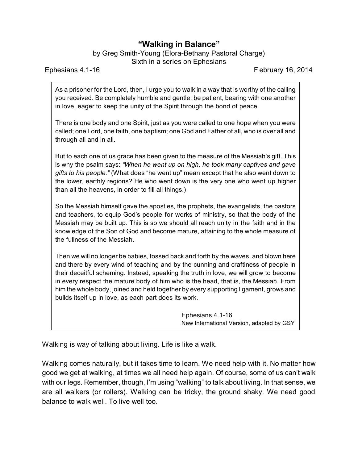## **"Walking in Balance"**

by Greg Smith-Young (Elora-Bethany Pastoral Charge) Sixth in a series on Ephesians

Ephesians 4.1-16 February 16, 2014

As a prisoner for the Lord, then, I urge you to walk in a way that is worthy of the calling you received. Be completely humble and gentle; be patient, bearing with one another in love, eager to keep the unity of the Spirit through the bond of peace.

There is one body and one Spirit, just as you were called to one hope when you were called; one Lord, one faith, one baptism; one God and Father of all, who is over all and through all and in all.

But to each one of us grace has been given to the measure of the Messiah's gift. This is why the psalm says: *"When he went up on high, he took many captives and gave gifts to his people."* (What does "he went up" mean except that he also went down to the lower, earthly regions? He who went down is the very one who went up higher than all the heavens, in order to fill all things.)

So the Messiah himself gave the apostles, the prophets, the evangelists, the pastors and teachers, to equip God's people for works of ministry, so that the body of the Messiah may be built up. This is so we should all reach unity in the faith and in the knowledge of the Son of God and become mature, attaining to the whole measure of the fullness of the Messiah.

Then we will no longer be babies, tossed back and forth by the waves, and blown here and there by every wind of teaching and by the cunning and craftiness of people in their deceitful scheming. Instead, speaking the truth in love, we will grow to become in every respect the mature body of him who is the head, that is, the Messiah. From him the whole body, joined and held together by every supporting ligament, grows and builds itself up in love, as each part does its work.

> Ephesians 4.1-16 New International Version, adapted by GSY

Walking is way of talking about living. Life is like a walk.

Walking comes naturally, but it takes time to learn. We need help with it. No matter how good we get at walking, at times we all need help again. Of course, some of us can't walk with our legs. Remember, though, I'm using "walking" to talk about living. In that sense, we are all walkers (or rollers). Walking can be tricky, the ground shaky. We need good balance to walk well. To live well too.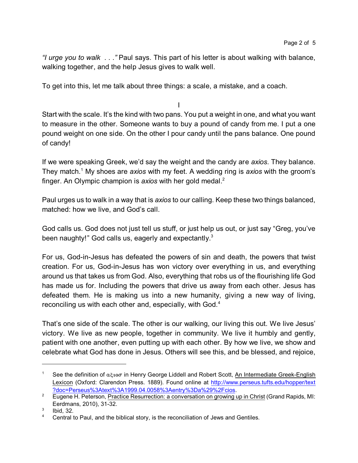*"I urge you to walk . . ."* Paul says. This part of his letter is about walking with balance, walking together, and the help Jesus gives to walk well.

To get into this, let me talk about three things: a scale, a mistake, and a coach.

I

Start with the scale. It's the kind with two pans. You put a weight in one, and what you want to measure in the other. Someone wants to buy a pound of candy from me. I put a one pound weight on one side. On the other I pour candy until the pans balance. One pound of candy!

If we were speaking Greek, we'd say the weight and the candy are *axios*. They balance. They match.<sup>1</sup> My shoes are *axios* with my feet. A wedding ring is *axios* with the groom's finger. An Olympic champion is *axios* with her gold medal. 2

Paul urges us to walk in a way that is *axios* to our calling. Keep these two things balanced, matched: how we live, and God's call.

God calls us. God does not just tell us stuff, or just help us out, or just say "Greg, you've been naughty!" God calls us, eagerly and expectantly.<sup>3</sup>

For us, God-in-Jesus has defeated the powers of sin and death, the powers that twist creation. For us, God-in-Jesus has won victory over everything in us, and everything around us that takes us from God. Also, everything that robs us of the flourishing life God has made us for. Including the powers that drive us away from each other. Jesus has defeated them. He is making us into a new humanity, giving a new way of living, reconciling us with each other and, especially, with God.<sup>4</sup>

That's one side of the scale. The other is our walking, our living this out. We live Jesus' victory. We live as new people, together in community. We live it humbly and gently, patient with one another, even putting up with each other. By how we live, we show and celebrate what God has done in Jesus. Others will see this, and be blessed, and rejoice,

<sup>1</sup> See the definition of *acios* in Henry George Liddell and Robert Scott, An Intermediate Greek-English Lexicon (Oxford: Clarendon Press. 1889). Found online at [http://www.perseus.tufts.edu/hopper/text](http://?doc=Perseus%3Atext%3A1999.04.0058%3Aentry%3Da%29%2Fcios) [?doc=Perseus%3Atext%3A1999.04.0058%3Aentry%3Da%29%2Fcios](http://?doc=Perseus%3Atext%3A1999.04.0058%3Aentry%3Da%29%2Fcios).

<sup>&</sup>lt;sup>2</sup> Eugene H. Peterson, Practice Resurrection: a conversation on growing up in Christ (Grand Rapids, MI: Eerdmans, 2010), 31-32.

<sup>3</sup> Ibid, 32.

<sup>&</sup>lt;sup>4</sup> Central to Paul, and the biblical story, is the reconciliation of Jews and Gentiles.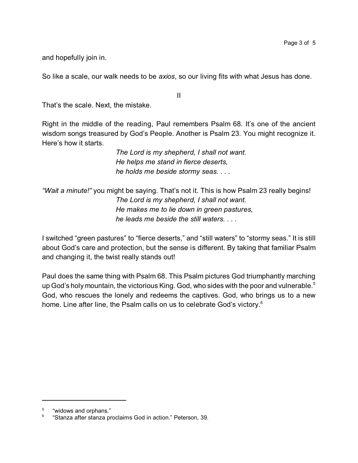and hopefully join in.

So like a scale, our walk needs to be *axios*, so our living fits with what Jesus has done.

II

That's the scale. Next, the mistake.

Right in the middle of the reading, Paul remembers Psalm 68. It's one of the ancient wisdom songs treasured by God's People. Another is Psalm 23. You might recognize it. Here's how it starts.

> *The Lord is my shepherd, I shall not want. He helps me stand in fierce deserts, he holds me beside stormy seas. . . .*

*"Wait a minute!"* you might be saying. That's not it. This is how Psalm 23 really begins! *The Lord is my shepherd, I shall not want. He makes me to lie down in green pastures, he leads me beside the still waters. . . .* 

I switched "green pastures" to "fierce deserts," and "still waters" to "stormy seas." It is still about God's care and protection, but the sense is different. By taking that familiar Psalm and changing it, the twist really stands out!

Paul does the same thing with Psalm 68. This Psalm pictures God triumphantly marching up God's holy mountain, the victorious King. God, who sides with the poor and vulnerable.<sup>5</sup> God, who rescues the lonely and redeems the captives. God, who brings us to a new home. Line after line, the Psalm calls on us to celebrate God's victory.<sup>6</sup>

<sup>5</sup> "widows and orphans."

<sup>6</sup> "Stanza after stanza proclaims God in action." Peterson, 39.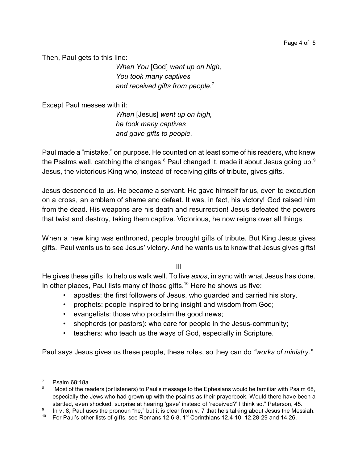Then, Paul gets to this line:

*When You* [God] *went up on high, You took many captives and received gifts from people.*<sup>7</sup>

Except Paul messes with it:

*When* [Jesus] *went up on high, he took many captives and gave gifts to people.*

Paul made a "mistake," on purpose. He counted on at least some of his readers, who knew the Psalms well, catching the changes. $8$  Paul changed it, made it about Jesus going up. $9$ Jesus, the victorious King who, instead of receiving gifts of tribute, gives gifts.

Jesus descended to us. He became a servant. He gave himself for us, even to execution on a cross, an emblem of shame and defeat. It was, in fact, his victory! God raised him from the dead. His weapons are his death and resurrection! Jesus defeated the powers that twist and destroy, taking them captive. Victorious, he now reigns over all things.

When a new king was enthroned, people brought gifts of tribute. But King Jesus gives gifts. Paul wants us to see Jesus' victory. And he wants us to know that Jesus gives gifts!

III

He gives these gifts to help us walk well. To live *axios*, in sync with what Jesus has done. In other places, Paul lists many of those gifts.<sup>10</sup> Here he shows us five:

- apostles: the first followers of Jesus, who guarded and carried his story.
- prophets: people inspired to bring insight and wisdom from God;
- evangelists: those who proclaim the good news;
- shepherds (or pastors): who care for people in the Jesus-community;
- teachers: who teach us the ways of God, especially in Scripture.

Paul says Jesus gives us these people, these roles, so they can do *"works of ministry."*

 $7$  Psalm 68:18a.

<sup>8</sup> "Most of the readers (or listeners) to Paul's message to the Ephesians would be familiar with Psalm 68, especially the Jews who had grown up with the psalms as their prayerbook. Would there have been a startled, even shocked, surprise at hearing 'gave' instead of 'received?' I think so." Peterson, 45.

<sup>9</sup> In v. 8, Paul uses the pronoun "he," but it is clear from v. 7 that he's talking about Jesus the Messiah.

<sup>&</sup>lt;sup>10</sup> For Paul's other lists of gifts, see Romans 12.6-8, 1<sup>st</sup> Corinthians 12.4-10, 12.28-29 and 14.26.